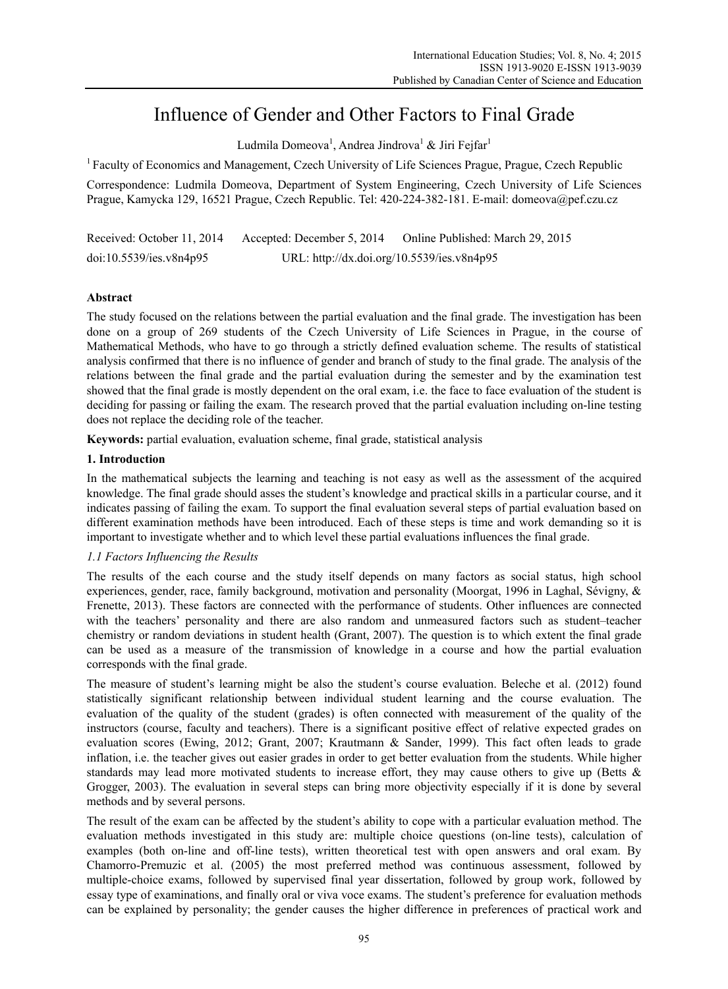# Influence of Gender and Other Factors to Final Grade

Ludmila Domeova<sup>1</sup>, Andrea Jindrova<sup>1</sup> & Jiri Fejfar<sup>1</sup>

<sup>1</sup> Faculty of Economics and Management, Czech University of Life Sciences Prague, Prague, Czech Republic

Correspondence: Ludmila Domeova, Department of System Engineering, Czech University of Life Sciences Prague, Kamycka 129, 16521 Prague, Czech Republic. Tel: 420-224-382-181. E-mail: domeova@pef.czu.cz

| Received: October 11, 2014 | Accepted: December 5, 2014                 | Online Published: March 29, 2015 |
|----------------------------|--------------------------------------------|----------------------------------|
| doi:10.5539/ies.v8n4p95    | URL: http://dx.doi.org/10.5539/ies.v8n4p95 |                                  |

# **Abstract**

The study focused on the relations between the partial evaluation and the final grade. The investigation has been done on a group of 269 students of the Czech University of Life Sciences in Prague, in the course of Mathematical Methods, who have to go through a strictly defined evaluation scheme. The results of statistical analysis confirmed that there is no influence of gender and branch of study to the final grade. The analysis of the relations between the final grade and the partial evaluation during the semester and by the examination test showed that the final grade is mostly dependent on the oral exam, i.e. the face to face evaluation of the student is deciding for passing or failing the exam. The research proved that the partial evaluation including on-line testing does not replace the deciding role of the teacher.

**Keywords:** partial evaluation, evaluation scheme, final grade, statistical analysis

## **1. Introduction**

In the mathematical subjects the learning and teaching is not easy as well as the assessment of the acquired knowledge. The final grade should asses the student's knowledge and practical skills in a particular course, and it indicates passing of failing the exam. To support the final evaluation several steps of partial evaluation based on different examination methods have been introduced. Each of these steps is time and work demanding so it is important to investigate whether and to which level these partial evaluations influences the final grade.

## *1.1 Factors Influencing the Results*

The results of the each course and the study itself depends on many factors as social status, high school experiences, gender, race, family background, motivation and personality (Moorgat, 1996 in Laghal, Sévigny, & Frenette, 2013). These factors are connected with the performance of students. Other influences are connected with the teachers' personality and there are also random and unmeasured factors such as student–teacher chemistry or random deviations in student health (Grant, 2007). The question is to which extent the final grade can be used as a measure of the transmission of knowledge in a course and how the partial evaluation corresponds with the final grade.

The measure of student's learning might be also the student's course evaluation. Beleche et al. (2012) found statistically significant relationship between individual student learning and the course evaluation. The evaluation of the quality of the student (grades) is often connected with measurement of the quality of the instructors (course, faculty and teachers). There is a significant positive effect of relative expected grades on evaluation scores (Ewing, 2012; Grant, 2007; Krautmann & Sander, 1999). This fact often leads to grade inflation, i.e. the teacher gives out easier grades in order to get better evaluation from the students. While higher standards may lead more motivated students to increase effort, they may cause others to give up (Betts & Grogger, 2003). The evaluation in several steps can bring more objectivity especially if it is done by several methods and by several persons.

The result of the exam can be affected by the student's ability to cope with a particular evaluation method. The evaluation methods investigated in this study are: multiple choice questions (on-line tests), calculation of examples (both on-line and off-line tests), written theoretical test with open answers and oral exam. By Chamorro-Premuzic et al. (2005) the most preferred method was continuous assessment, followed by multiple-choice exams, followed by supervised final year dissertation, followed by group work, followed by essay type of examinations, and finally oral or viva voce exams. The student's preference for evaluation methods can be explained by personality; the gender causes the higher difference in preferences of practical work and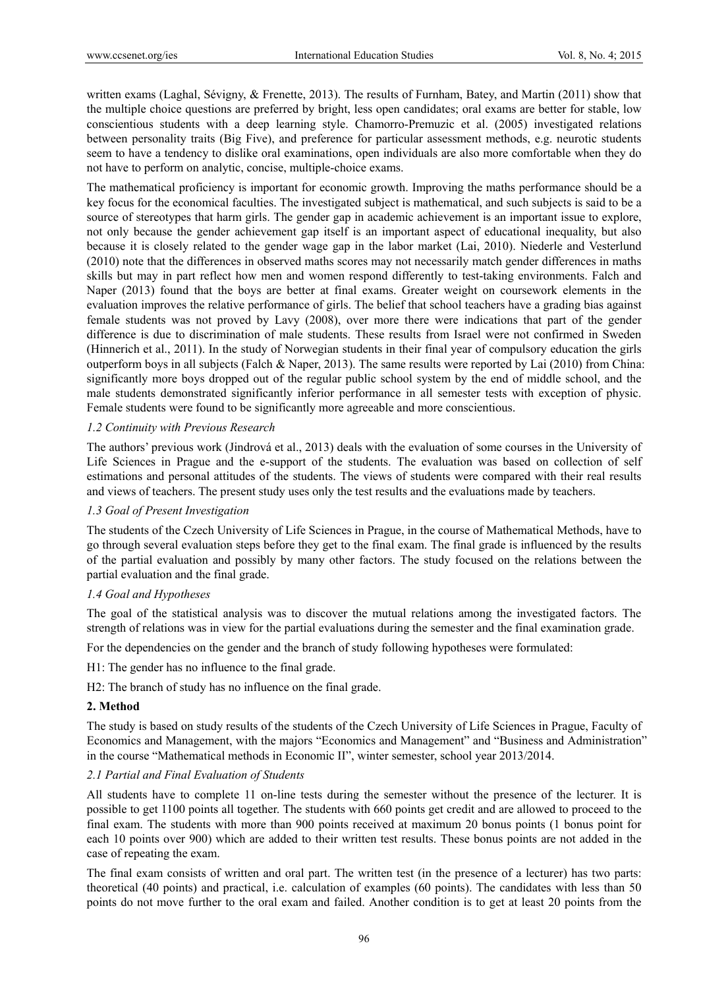written exams (Laghal, Sévigny, & Frenette, 2013). The results of Furnham, Batey, and Martin (2011) show that the multiple choice questions are preferred by bright, less open candidates; oral exams are better for stable, low conscientious students with a deep learning style. Chamorro-Premuzic et al. (2005) investigated relations between personality traits (Big Five), and preference for particular assessment methods, e.g. neurotic students seem to have a tendency to dislike oral examinations, open individuals are also more comfortable when they do not have to perform on analytic, concise, multiple-choice exams.

The mathematical proficiency is important for economic growth. Improving the maths performance should be a key focus for the economical faculties. The investigated subject is mathematical, and such subjects is said to be a source of stereotypes that harm girls. The gender gap in academic achievement is an important issue to explore, not only because the gender achievement gap itself is an important aspect of educational inequality, but also because it is closely related to the gender wage gap in the labor market (Lai, 2010). Niederle and Vesterlund (2010) note that the differences in observed maths scores may not necessarily match gender differences in maths skills but may in part reflect how men and women respond differently to test-taking environments. Falch and Naper (2013) found that the boys are better at final exams. Greater weight on coursework elements in the evaluation improves the relative performance of girls. The belief that school teachers have a grading bias against female students was not proved by Lavy (2008), over more there were indications that part of the gender difference is due to discrimination of male students. These results from Israel were not confirmed in Sweden (Hinnerich et al., 2011). In the study of Norwegian students in their final year of compulsory education the girls outperform boys in all subjects (Falch & Naper, 2013). The same results were reported by Lai (2010) from China: significantly more boys dropped out of the regular public school system by the end of middle school, and the male students demonstrated significantly inferior performance in all semester tests with exception of physic. Female students were found to be significantly more agreeable and more conscientious.

#### *1.2 Continuity with Previous Research*

The authors' previous work (Jindrová et al., 2013) deals with the evaluation of some courses in the University of Life Sciences in Prague and the e-support of the students. The evaluation was based on collection of self estimations and personal attitudes of the students. The views of students were compared with their real results and views of teachers. The present study uses only the test results and the evaluations made by teachers.

# *1.3 Goal of Present Investigation*

The students of the Czech University of Life Sciences in Prague, in the course of Mathematical Methods, have to go through several evaluation steps before they get to the final exam. The final grade is influenced by the results of the partial evaluation and possibly by many other factors. The study focused on the relations between the partial evaluation and the final grade.

# *1.4 Goal and Hypotheses*

The goal of the statistical analysis was to discover the mutual relations among the investigated factors. The strength of relations was in view for the partial evaluations during the semester and the final examination grade.

For the dependencies on the gender and the branch of study following hypotheses were formulated:

H1: The gender has no influence to the final grade.

H2: The branch of study has no influence on the final grade.

#### **2. Method**

The study is based on study results of the students of the Czech University of Life Sciences in Prague, Faculty of Economics and Management, with the majors "Economics and Management" and "Business and Administration" in the course "Mathematical methods in Economic II", winter semester, school year 2013/2014.

#### *2.1 Partial and Final Evaluation of Students*

All students have to complete 11 on-line tests during the semester without the presence of the lecturer. It is possible to get 1100 points all together. The students with 660 points get credit and are allowed to proceed to the final exam. The students with more than 900 points received at maximum 20 bonus points (1 bonus point for each 10 points over 900) which are added to their written test results. These bonus points are not added in the case of repeating the exam.

The final exam consists of written and oral part. The written test (in the presence of a lecturer) has two parts: theoretical (40 points) and practical, i.e. calculation of examples (60 points). The candidates with less than 50 points do not move further to the oral exam and failed. Another condition is to get at least 20 points from the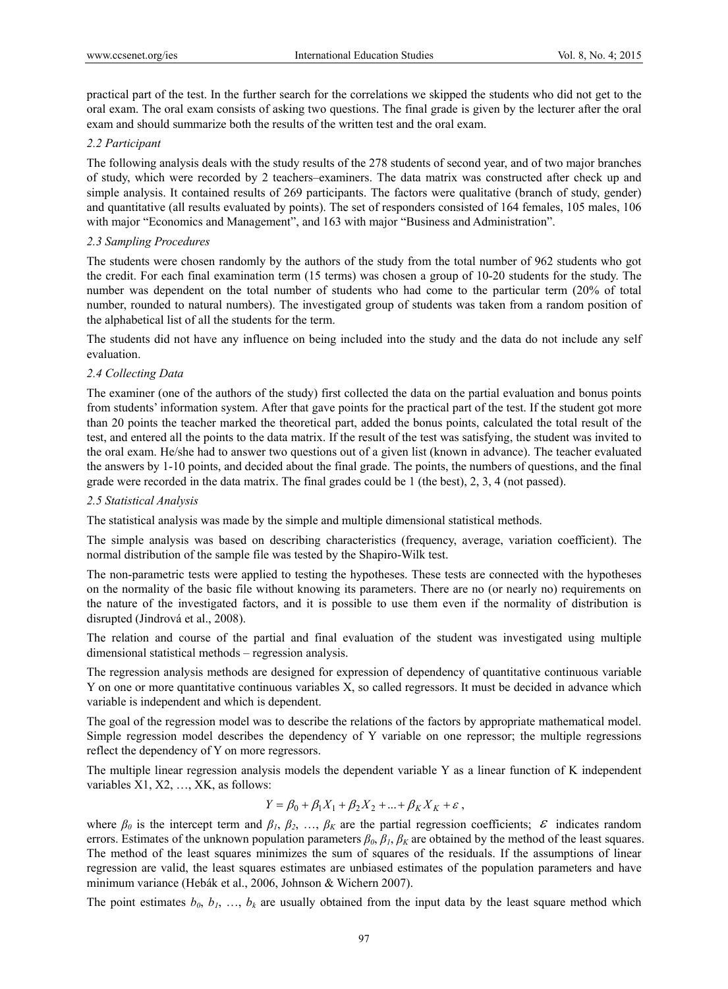practical part of the test. In the further search for the correlations we skipped the students who did not get to the oral exam. The oral exam consists of asking two questions. The final grade is given by the lecturer after the oral exam and should summarize both the results of the written test and the oral exam.

## *2.2 Participant*

The following analysis deals with the study results of the 278 students of second year, and of two major branches of study, which were recorded by 2 teachers–examiners. The data matrix was constructed after check up and simple analysis. It contained results of 269 participants. The factors were qualitative (branch of study, gender) and quantitative (all results evaluated by points). The set of responders consisted of 164 females, 105 males, 106 with major "Economics and Management", and 163 with major "Business and Administration".

#### *2.3 Sampling Procedures*

The students were chosen randomly by the authors of the study from the total number of 962 students who got the credit. For each final examination term (15 terms) was chosen a group of 10-20 students for the study. The number was dependent on the total number of students who had come to the particular term (20% of total number, rounded to natural numbers). The investigated group of students was taken from a random position of the alphabetical list of all the students for the term.

The students did not have any influence on being included into the study and the data do not include any self evaluation.

## *2.4 Collecting Data*

The examiner (one of the authors of the study) first collected the data on the partial evaluation and bonus points from students' information system. After that gave points for the practical part of the test. If the student got more than 20 points the teacher marked the theoretical part, added the bonus points, calculated the total result of the test, and entered all the points to the data matrix. If the result of the test was satisfying, the student was invited to the oral exam. He/she had to answer two questions out of a given list (known in advance). The teacher evaluated the answers by 1-10 points, and decided about the final grade. The points, the numbers of questions, and the final grade were recorded in the data matrix. The final grades could be 1 (the best), 2, 3, 4 (not passed).

#### *2.5 Statistical Analysis*

The statistical analysis was made by the simple and multiple dimensional statistical methods.

The simple analysis was based on describing characteristics (frequency, average, variation coefficient). The normal distribution of the sample file was tested by the Shapiro-Wilk test.

The non-parametric tests were applied to testing the hypotheses. These tests are connected with the hypotheses on the normality of the basic file without knowing its parameters. There are no (or nearly no) requirements on the nature of the investigated factors, and it is possible to use them even if the normality of distribution is disrupted (Jindrová et al., 2008).

The relation and course of the partial and final evaluation of the student was investigated using multiple dimensional statistical methods – regression analysis.

The regression analysis methods are designed for expression of dependency of quantitative continuous variable Y on one or more quantitative continuous variables X, so called regressors. It must be decided in advance which variable is independent and which is dependent.

The goal of the regression model was to describe the relations of the factors by appropriate mathematical model. Simple regression model describes the dependency of Y variable on one repressor; the multiple regressions reflect the dependency of Y on more regressors.

The multiple linear regression analysis models the dependent variable Y as a linear function of K independent variables X1, X2, …, XK, as follows:

$$
Y = \beta_0 + \beta_1 X_1 + \beta_2 X_2 + \dots + \beta_K X_K + \varepsilon ,
$$

where  $\beta_0$  is the intercept term and  $\beta_1$ ,  $\beta_2$ , ...,  $\beta_K$  are the partial regression coefficients;  $\varepsilon$  indicates random errors. Estimates of the unknown population parameters  $\beta_0$ ,  $\beta_1$ ,  $\beta_k$  are obtained by the method of the least squares. The method of the least squares minimizes the sum of squares of the residuals. If the assumptions of linear regression are valid, the least squares estimates are unbiased estimates of the population parameters and have minimum variance (Hebák et al., 2006, Johnson & Wichern 2007).

The point estimates  $b_0$ ,  $b_1$ , …,  $b_k$  are usually obtained from the input data by the least square method which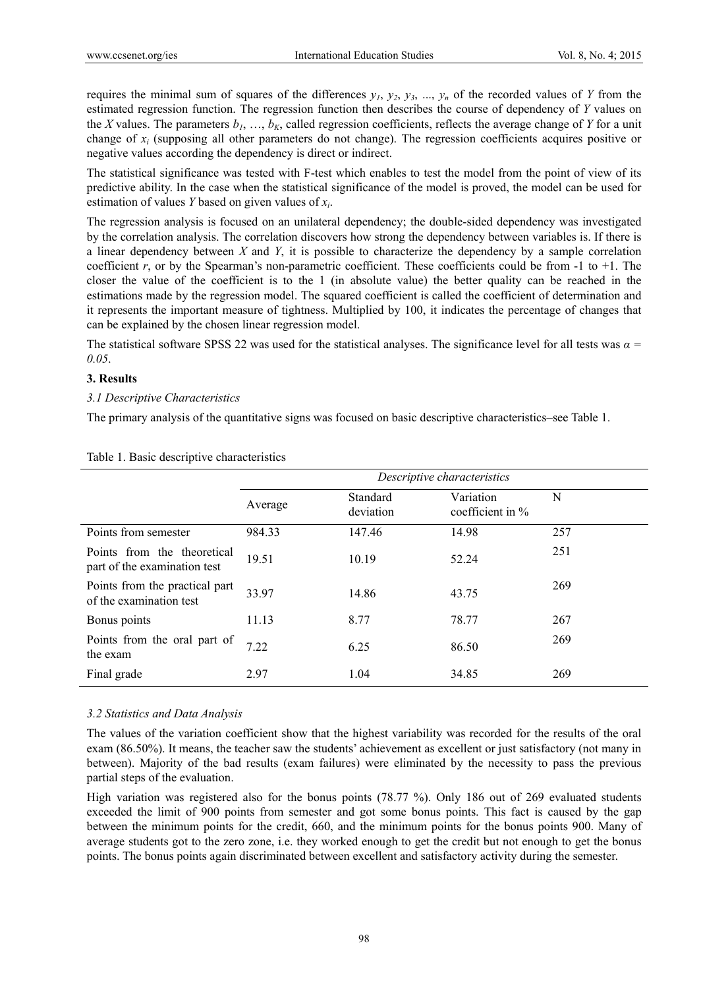requires the minimal sum of squares of the differences  $y_1, y_2, y_3, ..., y_n$  of the recorded values of *Y* from the estimated regression function. The regression function then describes the course of dependency of *Y* values on the *X* values. The parameters  $b_1, \ldots, b_k$  called regression coefficients, reflects the average change of *Y* for a unit change of *xi* (supposing all other parameters do not change). The regression coefficients acquires positive or negative values according the dependency is direct or indirect.

The statistical significance was tested with F-test which enables to test the model from the point of view of its predictive ability. In the case when the statistical significance of the model is proved, the model can be used for estimation of values *Y* based on given values of *xi*.

The regression analysis is focused on an unilateral dependency; the double-sided dependency was investigated by the correlation analysis. The correlation discovers how strong the dependency between variables is. If there is a linear dependency between *X* and *Y*, it is possible to characterize the dependency by a sample correlation coefficient  $r$ , or by the Spearman's non-parametric coefficient. These coefficients could be from  $-1$  to  $+1$ . The closer the value of the coefficient is to the 1 (in absolute value) the better quality can be reached in the estimations made by the regression model. The squared coefficient is called the coefficient of determination and it represents the important measure of tightness. Multiplied by 100, it indicates the percentage of changes that can be explained by the chosen linear regression model.

The statistical software SPSS 22 was used for the statistical analyses. The significance level for all tests was *α = 0.05*.

## **3. Results**

## *3.1 Descriptive Characteristics*

The primary analysis of the quantitative signs was focused on basic descriptive characteristics–see Table 1.

|                                                             | Descriptive characteristics |                       |                                  |     |
|-------------------------------------------------------------|-----------------------------|-----------------------|----------------------------------|-----|
|                                                             | Average                     | Standard<br>deviation | Variation<br>coefficient in $\%$ | N   |
| Points from semester                                        | 984.33                      | 147.46                | 14.98                            | 257 |
| Points from the theoretical<br>part of the examination test | 19.51                       | 10.19                 | 52.24                            | 251 |
| Points from the practical part<br>of the examination test   | 33.97                       | 14.86                 | 43.75                            | 269 |
| Bonus points                                                | 11.13                       | 8.77                  | 78.77                            | 267 |
| Points from the oral part of<br>the exam                    | 7.22                        | 6.25                  | 86.50                            | 269 |
| Final grade                                                 | 2.97                        | 1.04                  | 34.85                            | 269 |

#### Table 1. Basic descriptive characteristics

# *3.2 Statistics and Data Analysis*

The values of the variation coefficient show that the highest variability was recorded for the results of the oral exam (86.50%). It means, the teacher saw the students' achievement as excellent or just satisfactory (not many in between). Majority of the bad results (exam failures) were eliminated by the necessity to pass the previous partial steps of the evaluation.

High variation was registered also for the bonus points (78.77 %). Only 186 out of 269 evaluated students exceeded the limit of 900 points from semester and got some bonus points. This fact is caused by the gap between the minimum points for the credit, 660, and the minimum points for the bonus points 900. Many of average students got to the zero zone, i.e. they worked enough to get the credit but not enough to get the bonus points. The bonus points again discriminated between excellent and satisfactory activity during the semester.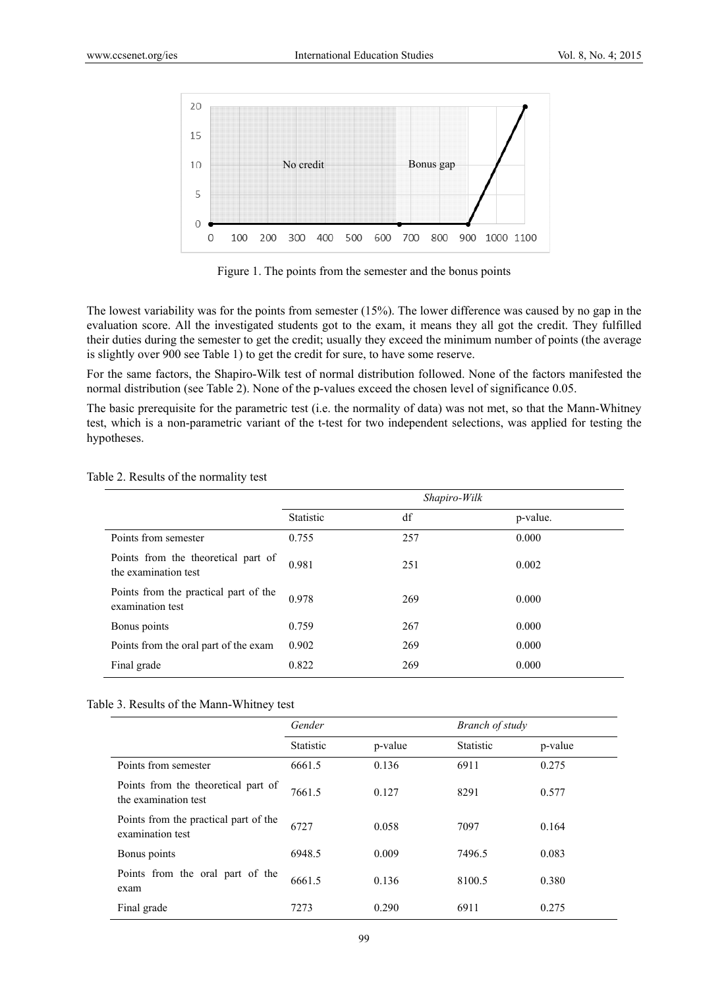

Figure 1. The points from the semester and the bonus points

The lowest variability was for the points from semester (15%). The lower difference was caused by no gap in the evaluation score. All the investigated students got to the exam, it means they all got the credit. They fulfilled their duties during the semester to get the credit; usually they exceed the minimum number of points (the average is slightly over 900 see Table 1) to get the credit for sure, to have some reserve.

For the same factors, the Shapiro-Wilk test of normal distribution followed. None of the factors manifested the normal distribution (see Table 2). None of the p-values exceed the chosen level of significance 0.05.

The basic prerequisite for the parametric test (i.e. the normality of data) was not met, so that the Mann-Whitney test, which is a non-parametric variant of the t-test for two independent selections, was applied for testing the hypotheses.

|                                                             | Shapiro-Wilk |     |          |
|-------------------------------------------------------------|--------------|-----|----------|
|                                                             | Statistic    | df  | p-value. |
| Points from semester                                        | 0.755        | 257 | 0.000    |
| Points from the theoretical part of<br>the examination test | 0.981        | 251 | 0.002    |
| Points from the practical part of the<br>examination test   | 0.978        | 269 | 0.000    |
| Bonus points                                                | 0.759        | 267 | 0.000    |
| Points from the oral part of the exam                       | 0.902        | 269 | 0.000    |
| Final grade                                                 | 0.822        | 269 | 0.000    |

#### Table 2. Results of the normality test

|  |  |  | Table 3. Results of the Mann-Whitney test |  |
|--|--|--|-------------------------------------------|--|
|--|--|--|-------------------------------------------|--|

|                                                             | Gender    |         | Branch of study  |         |
|-------------------------------------------------------------|-----------|---------|------------------|---------|
|                                                             | Statistic | p-value | <b>Statistic</b> | p-value |
| Points from semester                                        | 6661.5    | 0.136   | 6911             | 0.275   |
| Points from the theoretical part of<br>the examination test | 7661.5    | 0.127   | 8291             | 0.577   |
| Points from the practical part of the<br>examination test   | 6727      | 0.058   | 7097             | 0.164   |
| Bonus points                                                | 6948.5    | 0.009   | 7496.5           | 0.083   |
| Points from the oral part of the<br>exam                    | 6661.5    | 0.136   | 8100.5           | 0.380   |
| Final grade                                                 | 7273      | 0.290   | 6911             | 0.275   |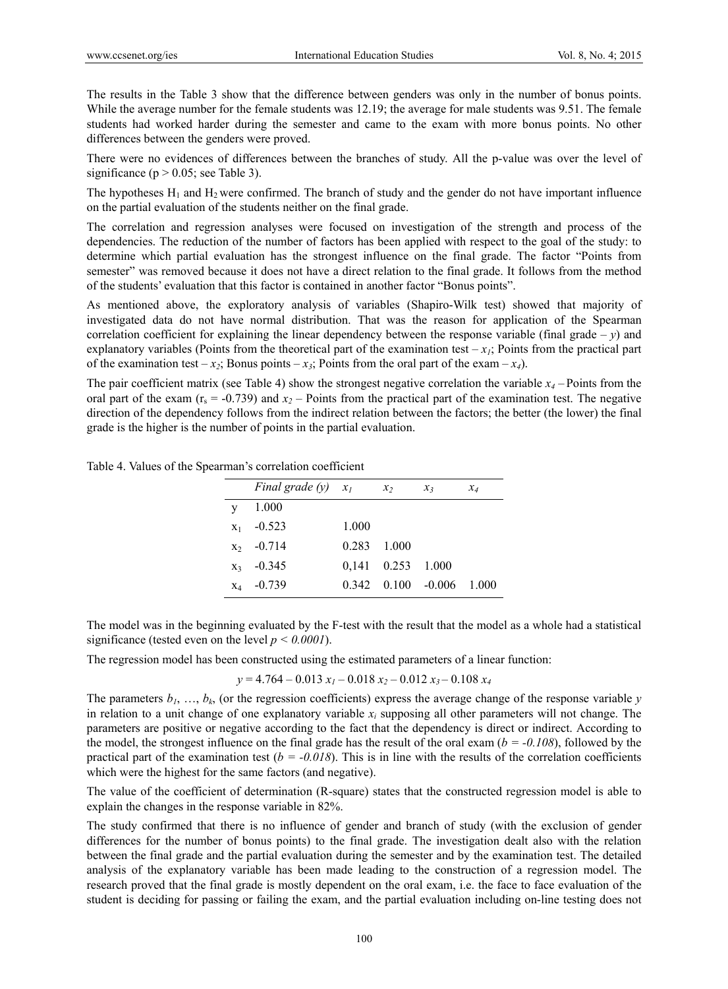The results in the Table 3 show that the difference between genders was only in the number of bonus points. While the average number for the female students was 12.19; the average for male students was 9.51. The female students had worked harder during the semester and came to the exam with more bonus points. No other differences between the genders were proved.

There were no evidences of differences between the branches of study. All the p-value was over the level of significance ( $p > 0.05$ ; see Table 3).

The hypotheses  $H_1$  and  $H_2$  were confirmed. The branch of study and the gender do not have important influence on the partial evaluation of the students neither on the final grade.

The correlation and regression analyses were focused on investigation of the strength and process of the dependencies. The reduction of the number of factors has been applied with respect to the goal of the study: to determine which partial evaluation has the strongest influence on the final grade. The factor "Points from semester" was removed because it does not have a direct relation to the final grade. It follows from the method of the students' evaluation that this factor is contained in another factor "Bonus points".

As mentioned above, the exploratory analysis of variables (Shapiro-Wilk test) showed that majority of investigated data do not have normal distribution. That was the reason for application of the Spearman correlation coefficient for explaining the linear dependency between the response variable (final grade  $-y$ ) and explanatory variables (Points from the theoretical part of the examination test  $-x_i$ ; Points from the practical part of the examination test –  $x_2$ ; Bonus points –  $x_3$ ; Points from the oral part of the exam –  $x_4$ ).

The pair coefficient matrix (see Table 4) show the strongest negative correlation the variable  $x_4$  – Points from the oral part of the exam  $(r_s = -0.739)$  and  $x_2$  – Points from the practical part of the examination test. The negative direction of the dependency follows from the indirect relation between the factors; the better (the lower) the final grade is the higher is the number of points in the partial evaluation.

| Table 4. Values of the Spearman's correlation coefficient |
|-----------------------------------------------------------|
|-----------------------------------------------------------|

|   | Final grade $(y)$ $x_1$ |             | $x_2$                    | $x_3$ | $x_4$ |
|---|-------------------------|-------------|--------------------------|-------|-------|
| V | 1.000                   |             |                          |       |       |
|   | $x_1$ -0.523            | 1.000       |                          |       |       |
|   | $x_2$ -0.714            | 0.283 1.000 |                          |       |       |
|   | $x_3$ -0.345            |             | 0,141 0.253 1.000        |       |       |
|   | $x_4$ -0.739            |             | $0.342$ $0.100$ $-0.006$ |       | 1.000 |

The model was in the beginning evaluated by the F-test with the result that the model as a whole had a statistical significance (tested even on the level  $p < 0.0001$ ).

The regression model has been constructed using the estimated parameters of a linear function:

$$
y = 4.764 - 0.013 x_1 - 0.018 x_2 - 0.012 x_3 - 0.108 x_4
$$

The parameters  $b_1, \ldots, b_k$  (or the regression coefficients) express the average change of the response variable *y* in relation to a unit change of one explanatory variable  $x_i$  supposing all other parameters will not change. The parameters are positive or negative according to the fact that the dependency is direct or indirect. According to the model, the strongest influence on the final grade has the result of the oral exam  $(b = -0.108)$ , followed by the practical part of the examination test  $(b = -0.018)$ . This is in line with the results of the correlation coefficients which were the highest for the same factors (and negative).

The value of the coefficient of determination (R-square) states that the constructed regression model is able to explain the changes in the response variable in 82%.

The study confirmed that there is no influence of gender and branch of study (with the exclusion of gender differences for the number of bonus points) to the final grade. The investigation dealt also with the relation between the final grade and the partial evaluation during the semester and by the examination test. The detailed analysis of the explanatory variable has been made leading to the construction of a regression model. The research proved that the final grade is mostly dependent on the oral exam, i.e. the face to face evaluation of the student is deciding for passing or failing the exam, and the partial evaluation including on-line testing does not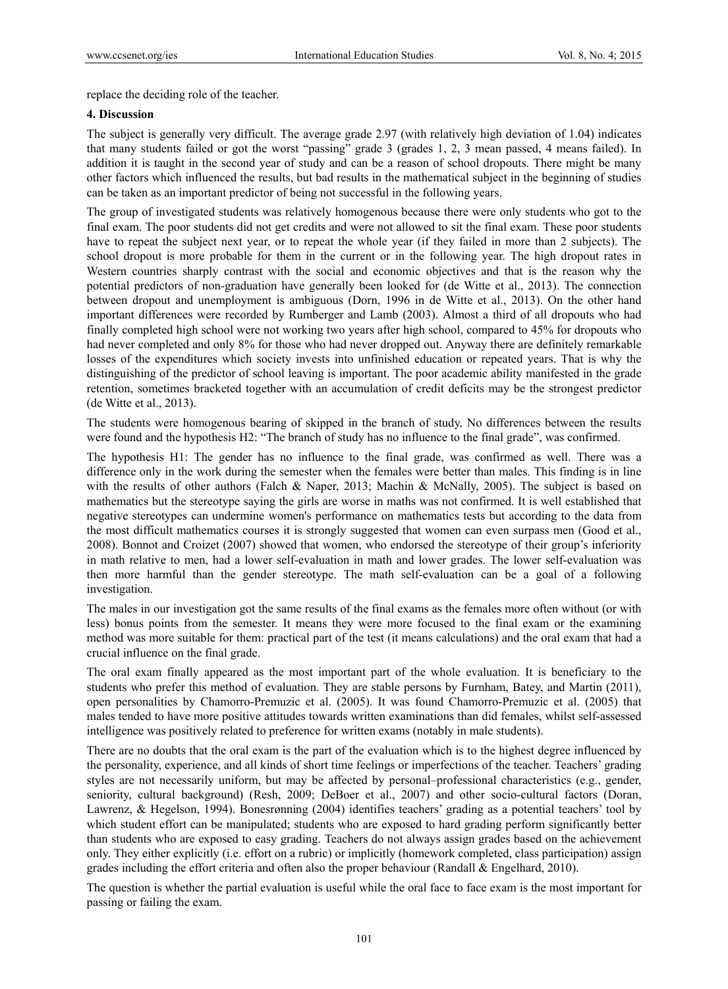replace the deciding role of the teacher.

#### **4. Discussion**

The subject is generally very difficult. The average grade 2.97 (with relatively high deviation of 1.04) indicates that many students failed or got the worst "passing" grade 3 (grades 1, 2, 3 mean passed, 4 means failed). In addition it is taught in the second year of study and can be a reason of school dropouts. There might be many other factors which influenced the results, but bad results in the mathematical subject in the beginning of studies can be taken as an important predictor of being not successful in the following years.

The group of investigated students was relatively homogenous because there were only students who got to the final exam. The poor students did not get credits and were not allowed to sit the final exam. These poor students have to repeat the subject next year, or to repeat the whole year (if they failed in more than 2 subjects). The school dropout is more probable for them in the current or in the following year. The high dropout rates in Western countries sharply contrast with the social and economic objectives and that is the reason why the potential predictors of non-graduation have generally been looked for (de Witte et al., 2013). The connection between dropout and unemployment is ambiguous (Dorn, 1996 in de Witte et al., 2013). On the other hand important differences were recorded by Rumberger and Lamb (2003). Almost a third of all dropouts who had finally completed high school were not working two years after high school, compared to 45% for dropouts who had never completed and only 8% for those who had never dropped out. Anyway there are definitely remarkable losses of the expenditures which society invests into unfinished education or repeated years. That is why the distinguishing of the predictor of school leaving is important. The poor academic ability manifested in the grade retention, sometimes bracketed together with an accumulation of credit deficits may be the strongest predictor (de Witte et al., 2013).

The students were homogenous bearing of skipped in the branch of study. No differences between the results were found and the hypothesis H2: "The branch of study has no influence to the final grade", was confirmed.

The hypothesis H1: The gender has no influence to the final grade, was confirmed as well. There was a difference only in the work during the semester when the females were better than males. This finding is in line with the results of other authors (Falch & Naper, 2013; Machin & McNally, 2005). The subject is based on mathematics but the stereotype saying the girls are worse in maths was not confirmed. It is well established that negative stereotypes can undermine women's performance on mathematics tests but according to the data from the most difficult mathematics courses it is strongly suggested that women can even surpass men (Good et al., 2008). Bonnot and Croizet (2007) showed that women, who endorsed the stereotype of their group's inferiority in math relative to men, had a lower self-evaluation in math and lower grades. The lower self-evaluation was then more harmful than the gender stereotype. The math self-evaluation can be a goal of a following investigation.

The males in our investigation got the same results of the final exams as the females more often without (or with less) bonus points from the semester. It means they were more focused to the final exam or the examining method was more suitable for them: practical part of the test (it means calculations) and the oral exam that had a crucial influence on the final grade.

The oral exam finally appeared as the most important part of the whole evaluation. It is beneficiary to the students who prefer this method of evaluation. They are stable persons by Furnham, Batey, and Martin (2011), open personalities by Chamorro-Premuzic et al. (2005). It was found Chamorro-Premuzic et al. (2005) that males tended to have more positive attitudes towards written examinations than did females, whilst self-assessed intelligence was positively related to preference for written exams (notably in male students).

There are no doubts that the oral exam is the part of the evaluation which is to the highest degree influenced by the personality, experience, and all kinds of short time feelings or imperfections of the teacher. Teachers' grading styles are not necessarily uniform, but may be affected by personal–professional characteristics (e.g., gender, seniority, cultural background) (Resh, 2009; DeBoer et al., 2007) and other socio-cultural factors (Doran, Lawrenz, & Hegelson, 1994). Bonesrønning (2004) identifies teachers' grading as a potential teachers' tool by which student effort can be manipulated; students who are exposed to hard grading perform significantly better than students who are exposed to easy grading. Teachers do not always assign grades based on the achievement only. They either explicitly (i.e. effort on a rubric) or implicitly (homework completed, class participation) assign grades including the effort criteria and often also the proper behaviour (Randall & Engelhard, 2010).

The question is whether the partial evaluation is useful while the oral face to face exam is the most important for passing or failing the exam.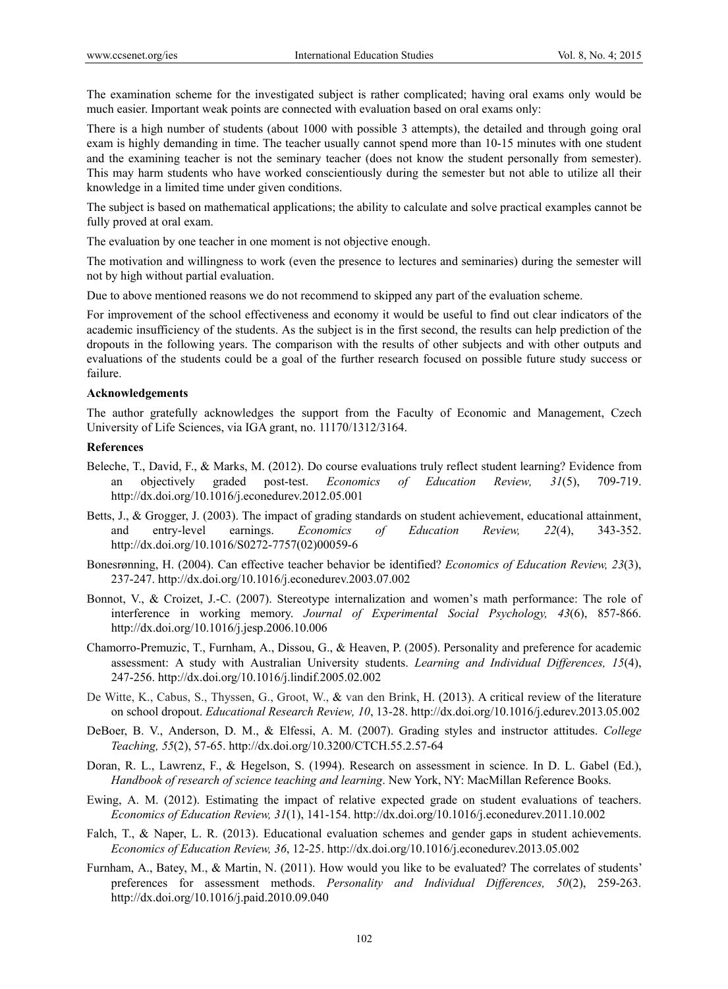The examination scheme for the investigated subject is rather complicated; having oral exams only would be much easier. Important weak points are connected with evaluation based on oral exams only:

There is a high number of students (about 1000 with possible 3 attempts), the detailed and through going oral exam is highly demanding in time. The teacher usually cannot spend more than 10-15 minutes with one student and the examining teacher is not the seminary teacher (does not know the student personally from semester). This may harm students who have worked conscientiously during the semester but not able to utilize all their knowledge in a limited time under given conditions.

The subject is based on mathematical applications; the ability to calculate and solve practical examples cannot be fully proved at oral exam.

The evaluation by one teacher in one moment is not objective enough.

The motivation and willingness to work (even the presence to lectures and seminaries) during the semester will not by high without partial evaluation.

Due to above mentioned reasons we do not recommend to skipped any part of the evaluation scheme.

For improvement of the school effectiveness and economy it would be useful to find out clear indicators of the academic insufficiency of the students. As the subject is in the first second, the results can help prediction of the dropouts in the following years. The comparison with the results of other subjects and with other outputs and evaluations of the students could be a goal of the further research focused on possible future study success or failure.

#### **Acknowledgements**

The author gratefully acknowledges the support from the Faculty of Economic and Management, Czech University of Life Sciences, via IGA grant, no. 11170/1312/3164.

#### **References**

- Beleche, T., David, F., & Marks, M. (2012). Do course evaluations truly reflect student learning? Evidence from an objectively graded post-test. *Economics of Education Review, 31*(5), 709-719. http://dx.doi.org/10.1016/j.econedurev.2012.05.001
- Betts, J., & Grogger, J. (2003). The impact of grading standards on student achievement, educational attainment, and entry-level earnings. *Economics of Education Review, 22*(4), 343-352. http://dx.doi.org/10.1016/S0272-7757(02)00059-6
- Bonesrønning, H. (2004). Can effective teacher behavior be identified? *Economics of Education Review, 23*(3), 237-247. http://dx.doi.org/10.1016/j.econedurev.2003.07.002
- Bonnot, V., & Croizet, J.-C. (2007). Stereotype internalization and women's math performance: The role of interference in working memory. *Journal of Experimental Social Psychology, 43*(6), 857-866. http://dx.doi.org/10.1016/j.jesp.2006.10.006
- Chamorro-Premuzic, T., Furnham, A., Dissou, G., & Heaven, P. (2005). Personality and preference for academic assessment: A study with Australian University students. *Learning and Individual Differences, 15*(4), 247-256. http://dx.doi.org/10.1016/j.lindif.2005.02.002
- De Witte, K., Cabus, S., Thyssen, G., Groot, W., & van den Brink, H. (2013). A critical review of the literature on school dropout. *Educational Research Review, 10*, 13-28. http://dx.doi.org/10.1016/j.edurev.2013.05.002
- DeBoer, B. V., Anderson, D. M., & Elfessi, A. M. (2007). Grading styles and instructor attitudes. *College Teaching, 55*(2), 57-65. http://dx.doi.org/10.3200/CTCH.55.2.57-64
- Doran, R. L., Lawrenz, F., & Hegelson, S. (1994). Research on assessment in science. In D. L. Gabel (Ed.), *Handbook of research of science teaching and learning*. New York, NY: MacMillan Reference Books.
- Ewing, A. M. (2012). Estimating the impact of relative expected grade on student evaluations of teachers. *Economics of Education Review, 31*(1), 141-154. http://dx.doi.org/10.1016/j.econedurev.2011.10.002
- Falch, T., & Naper, L. R. (2013). Educational evaluation schemes and gender gaps in student achievements. *Economics of Education Review, 36*, 12-25. http://dx.doi.org/10.1016/j.econedurev.2013.05.002
- Furnham, A., Batey, M., & Martin, N. (2011). How would you like to be evaluated? The correlates of students' preferences for assessment methods. *Personality and Individual Differences, 50*(2), 259-263. http://dx.doi.org/10.1016/j.paid.2010.09.040